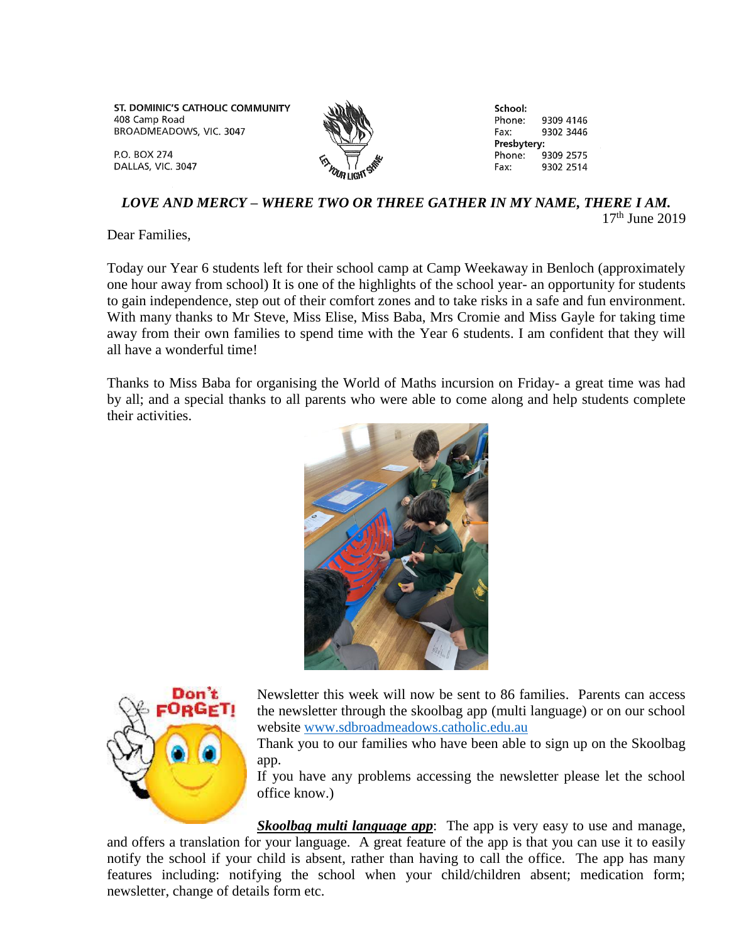ST. DOMINIC'S CATHOLIC COMMUNITY 408 Camp Road BROADMEADOWS, VIC. 3047



School: Phone: 9309 4146 Fax: 9302 3446 Presbytery: Phone: 9309 2575 9302 2514 Fax:

## *LOVE AND MERCY – WHERE TWO OR THREE GATHER IN MY NAME, THERE I AM.*  $17<sup>th</sup>$  June 2019

Dear Families,

**P.O. BOX 274** 

DALLAS, VIC. 3047

Today our Year 6 students left for their school camp at Camp Weekaway in Benloch (approximately one hour away from school) It is one of the highlights of the school year- an opportunity for students to gain independence, step out of their comfort zones and to take risks in a safe and fun environment. With many thanks to Mr Steve, Miss Elise, Miss Baba, Mrs Cromie and Miss Gayle for taking time away from their own families to spend time with the Year 6 students. I am confident that they will all have a wonderful time!

Thanks to Miss Baba for organising the World of Maths incursion on Friday- a great time was had by all; and a special thanks to all parents who were able to come along and help students complete their activities.





Newsletter this week will now be sent to 86 families. Parents can access the newsletter through the skoolbag app (multi language) or on our school website [www.sdbroadmeadows.catholic.edu.au](http://www.sdbroadmeadows.catholic.edu.au/)

Thank you to our families who have been able to sign up on the Skoolbag app.

If you have any problems accessing the newsletter please let the school office know.)

*Skoolbag multi language app*: The app is very easy to use and manage, and offers a translation for your language. A great feature of the app is that you can use it to easily notify the school if your child is absent, rather than having to call the office. The app has many features including: notifying the school when your child/children absent; medication form; newsletter, change of details form etc.